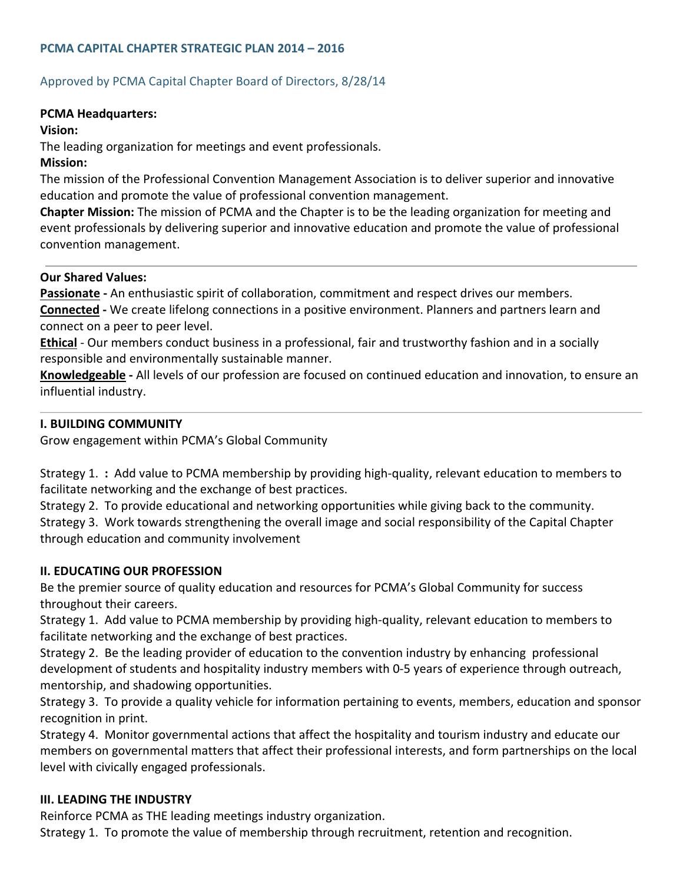# **PCMA CAPITAL CHAPTER STRATEGIC PLAN 2014 – 2016**

## Approved by PCMA Capital Chapter Board of Directors, 8/28/14

#### **PCMA Headquarters:**

#### **Vision:**

The leading organization for meetings and event professionals.

#### **Mission:**

The mission of the Professional Convention Management Association is to deliver superior and innovative education and promote the value of professional convention management.

**Chapter Mission:** The mission of PCMA and the Chapter is to be the leading organization for meeting and event professionals by delivering superior and innovative education and promote the value of professional convention management.

## **Our Shared Values:**

Passionate - An enthusiastic spirit of collaboration, commitment and respect drives our members. **Connected ‐** We create lifelong connections in a positive environment. Planners and partners learn and connect on a peer to peer level.

**Ethical** - Our members conduct business in a professional, fair and trustworthy fashion and in a socially responsible and environmentally sustainable manner.

**Knowledgeable ‐** All levels of our profession are focused on continued education and innovation, to ensure an influential industry.

## **I. BUILDING COMMUNITY**

Grow engagement within PCMA's Global Community

Strategy 1. **:** Add value to PCMA membership by providing high‐quality, relevant education to members to facilitate networking and the exchange of best practices.

Strategy 2. To provide educational and networking opportunities while giving back to the community. Strategy 3. Work towards strengthening the overall image and social responsibility of the Capital Chapter through education and community involvement

## **II. EDUCATING OUR PROFESSION**

Be the premier source of quality education and resources for PCMA's Global Community for success throughout their careers.

Strategy 1. Add value to PCMA membership by providing high‐quality, relevant education to members to facilitate networking and the exchange of best practices.

Strategy 2. Be the leading provider of education to the convention industry by enhancing professional development of students and hospitality industry members with 0‐5 years of experience through outreach, mentorship, and shadowing opportunities.

Strategy 3. To provide a quality vehicle for information pertaining to events, members, education and sponsor recognition in print.

Strategy 4. Monitor governmental actions that affect the hospitality and tourism industry and educate our members on governmental matters that affect their professional interests, and form partnerships on the local level with civically engaged professionals.

## **III. LEADING THE INDUSTRY**

Reinforce PCMA as THE leading meetings industry organization.

Strategy 1. To promote the value of membership through recruitment, retention and recognition.